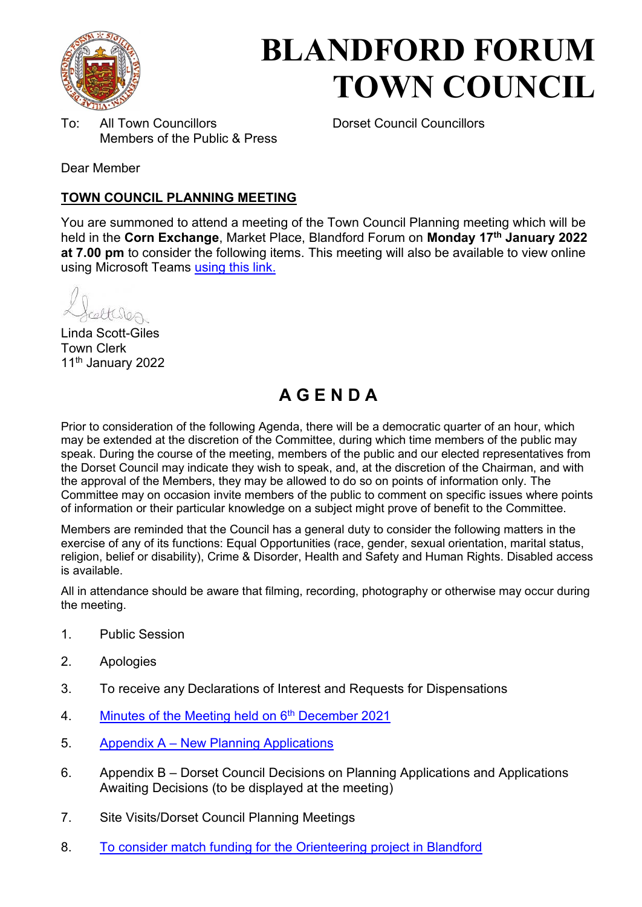

# **BLANDFORD FORUM TOWN COUNCIL**

To: All Town Councillors Dorset Council Councillors Members of the Public & Press

Dear Member

#### **TOWN COUNCIL PLANNING MEETING**

You are summoned to attend a meeting of the Town Council Planning meeting which will be held in the **Corn Exchange**, Market Place, Blandford Forum on **Monday 17th January 2022 at 7.00 pm** to consider the following items. This meeting will also be available to view online using Microsoft Teams [using this link.](https://teams.microsoft.com/l/meetup-join/19%3a2cb1b1f9de074efdad40308940ab9ba0%40thread.tacv2/1637585373672?context=%7b%22Tid%22%3a%223cd8f2fb-4c45-4162-86f1-fb87b5f6a138%22%2c%22Oid%22%3a%2265e5950c-ab1c-41cc-9090-4a755c733f54%22%7d)

etteren

Linda Scott-Giles Town Clerk 11th January 2022

# **A G E N D A**

Prior to consideration of the following Agenda, there will be a democratic quarter of an hour, which may be extended at the discretion of the Committee, during which time members of the public may speak. During the course of the meeting, members of the public and our elected representatives from the Dorset Council may indicate they wish to speak, and, at the discretion of the Chairman, and with the approval of the Members, they may be allowed to do so on points of information only. The Committee may on occasion invite members of the public to comment on specific issues where points of information or their particular knowledge on a subject might prove of benefit to the Committee.

Members are reminded that the Council has a general duty to consider the following matters in the exercise of any of its functions: Equal Opportunities (race, gender, sexual orientation, marital status, religion, belief or disability), Crime & Disorder, Health and Safety and Human Rights. Disabled access is available.

All in attendance should be aware that filming, recording, photography or otherwise may occur during the meeting.

- 1. Public Session
- 2. Apologies
- 3. To receive any Declarations of Interest and Requests for Dispensations
- 4. [Minutes of the Meeting held on 6](https://blandfordforum-tc.gov.uk/wp-content/uploads/2021/12/061221.pdf)<sup>th</sup> December 2021
- 5. Appendix A – [New Planning Applications](#page-2-0)
- 6. Appendix B Dorset Council Decisions on Planning Applications and Applications Awaiting Decisions (to be displayed at the meeting)
- 7. Site Visits/Dorset Council Planning Meetings
- 8. [To consider match funding for the Orienteering project in Blandford](#page-6-0)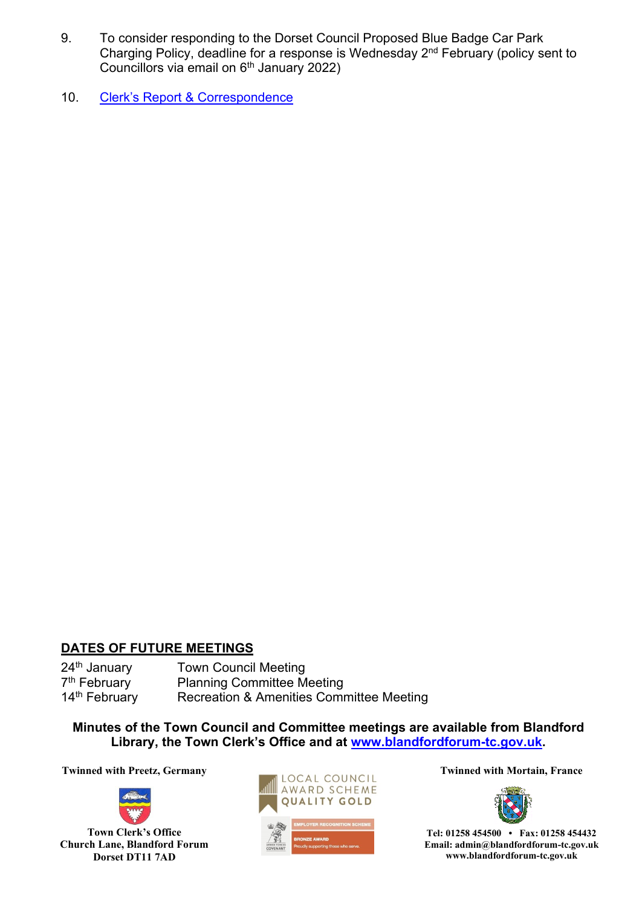- 9. To consider responding to the Dorset Council Proposed Blue Badge Car Park Charging Policy, deadline for a response is Wednesday 2nd February (policy sent to Councillors via email on 6th January 2022)
- 10. [Clerk's Report & Corr](#page-9-0)espondence

#### **DATES OF FUTURE MEETINGS**

24<sup>th</sup> January **Town Council Meeting** 7<sup>th</sup> February **Planning Committee Meeting** 14<sup>th</sup> February Recreation & Amenities Committee Meeting

**Minutes of the Town Council and Committee meetings are available from Blandford Library, the Town Clerk's Office and at [www.blandfordforum-tc.gov.uk.](http://www.blandfordforum-tc.gov.uk/)** 



**Town Clerk's Office Church Lane, Blandford Forum Dorset DT11 7AD**





**Tel: 01258 454500 • Fax: 01258 454432 Email: admin@blandfordforum-tc.gov.uk www.blandfordforum-tc.gov.uk**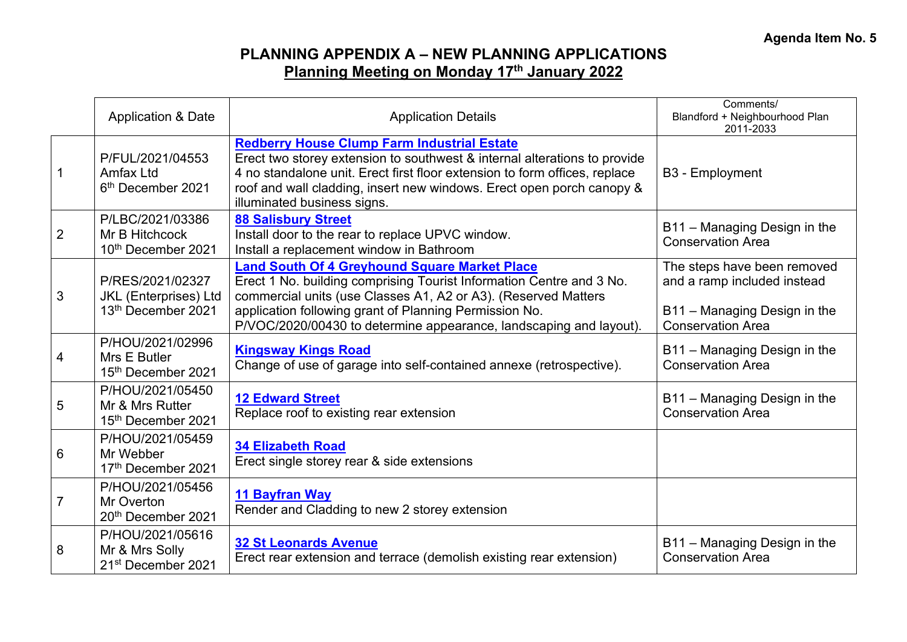# **PLANNING APPENDIX A – NEW PLANNING APPLICATIONS Planning Meeting on Monday 17th January 2022**

<span id="page-2-0"></span>

|                | <b>Application &amp; Date</b>                                          | <b>Application Details</b>                                                                                                                                                                                                                                                                                                     | Comments/<br>Blandford + Neighbourhood Plan<br>2011-2033                                                               |
|----------------|------------------------------------------------------------------------|--------------------------------------------------------------------------------------------------------------------------------------------------------------------------------------------------------------------------------------------------------------------------------------------------------------------------------|------------------------------------------------------------------------------------------------------------------------|
|                | P/FUL/2021/04553<br><b>Amfax Ltd</b><br>6 <sup>th</sup> December 2021  | <b>Redberry House Clump Farm Industrial Estate</b><br>Erect two storey extension to southwest & internal alterations to provide<br>4 no standalone unit. Erect first floor extension to form offices, replace<br>roof and wall cladding, insert new windows. Erect open porch canopy &<br>illuminated business signs.          | B <sub>3</sub> - Employment                                                                                            |
| $\overline{2}$ | P/LBC/2021/03386<br>Mr B Hitchcock<br>10th December 2021               | <b>88 Salisbury Street</b><br>Install door to the rear to replace UPVC window.<br>Install a replacement window in Bathroom                                                                                                                                                                                                     | B11 - Managing Design in the<br><b>Conservation Area</b>                                                               |
| 3              | P/RES/2021/02327<br><b>JKL</b> (Enterprises) Ltd<br>13th December 2021 | <b>Land South Of 4 Greyhound Square Market Place</b><br>Erect 1 No. building comprising Tourist Information Centre and 3 No.<br>commercial units (use Classes A1, A2 or A3). (Reserved Matters<br>application following grant of Planning Permission No.<br>P/VOC/2020/00430 to determine appearance, landscaping and layout). | The steps have been removed<br>and a ramp included instead<br>B11 - Managing Design in the<br><b>Conservation Area</b> |
| 4              | P/HOU/2021/02996<br>Mrs E Butler<br>15th December 2021                 | <b>Kingsway Kings Road</b><br>Change of use of garage into self-contained annexe (retrospective).                                                                                                                                                                                                                              | B11 - Managing Design in the<br><b>Conservation Area</b>                                                               |
| 5              | P/HOU/2021/05450<br>Mr & Mrs Rutter<br>15th December 2021              | <b>12 Edward Street</b><br>Replace roof to existing rear extension                                                                                                                                                                                                                                                             | B11 - Managing Design in the<br><b>Conservation Area</b>                                                               |
| 6              | P/HOU/2021/05459<br>Mr Webber<br>17th December 2021                    | <b>34 Elizabeth Road</b><br>Erect single storey rear & side extensions                                                                                                                                                                                                                                                         |                                                                                                                        |
| $\overline{7}$ | P/HOU/2021/05456<br>Mr Overton<br>20th December 2021                   | <b>11 Bayfran Way</b><br>Render and Cladding to new 2 storey extension                                                                                                                                                                                                                                                         |                                                                                                                        |
| 8              | P/HOU/2021/05616<br>Mr & Mrs Solly<br>21 <sup>st</sup> December 2021   | <b>32 St Leonards Avenue</b><br>Erect rear extension and terrace (demolish existing rear extension)                                                                                                                                                                                                                            | B11 - Managing Design in the<br><b>Conservation Area</b>                                                               |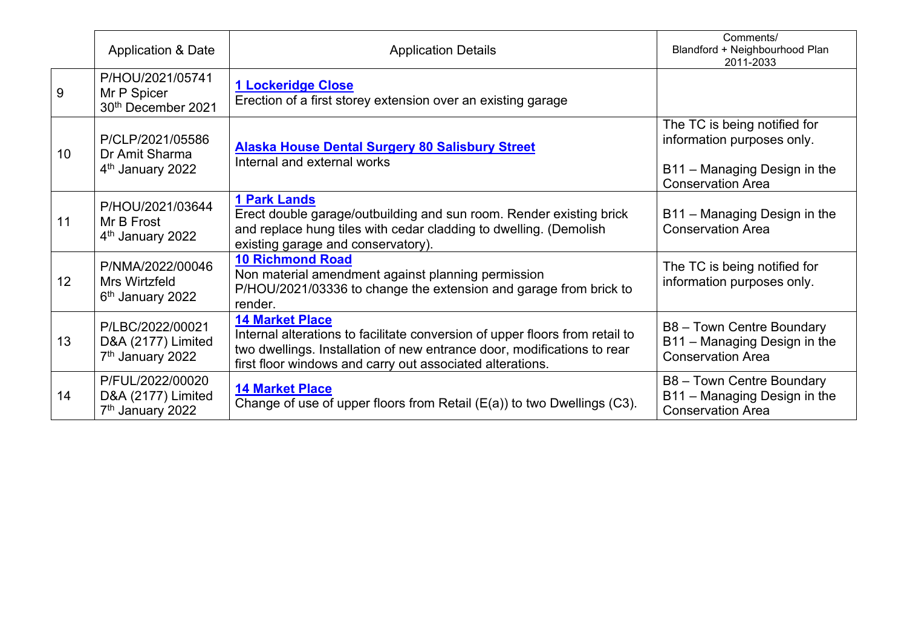|    | <b>Application &amp; Date</b>                                          | <b>Application Details</b>                                                                                                                                                                                                                     | Comments/<br>Blandford + Neighbourhood Plan<br>2011-2033                                                               |
|----|------------------------------------------------------------------------|------------------------------------------------------------------------------------------------------------------------------------------------------------------------------------------------------------------------------------------------|------------------------------------------------------------------------------------------------------------------------|
| 9  | P/HOU/2021/05741<br>Mr P Spicer<br>30th December 2021                  | <b>1 Lockeridge Close</b><br>Erection of a first storey extension over an existing garage                                                                                                                                                      |                                                                                                                        |
| 10 | P/CLP/2021/05586<br>Dr Amit Sharma<br>4 <sup>th</sup> January 2022     | <b>Alaska House Dental Surgery 80 Salisbury Street</b><br>Internal and external works                                                                                                                                                          | The TC is being notified for<br>information purposes only.<br>B11 - Managing Design in the<br><b>Conservation Area</b> |
| 11 | P/HOU/2021/03644<br>Mr B Frost<br>4 <sup>th</sup> January 2022         | <b>1 Park Lands</b><br>Erect double garage/outbuilding and sun room. Render existing brick<br>and replace hung tiles with cedar cladding to dwelling. (Demolish<br>existing garage and conservatory).                                          | B11 - Managing Design in the<br><b>Conservation Area</b>                                                               |
| 12 | P/NMA/2022/00046<br>Mrs Wirtzfeld<br>6 <sup>th</sup> January 2022      | <b>10 Richmond Road</b><br>Non material amendment against planning permission<br>P/HOU/2021/03336 to change the extension and garage from brick to<br>render.                                                                                  | The TC is being notified for<br>information purposes only.                                                             |
| 13 | P/LBC/2022/00021<br>D&A (2177) Limited<br>7 <sup>th</sup> January 2022 | <b>14 Market Place</b><br>Internal alterations to facilitate conversion of upper floors from retail to<br>two dwellings. Installation of new entrance door, modifications to rear<br>first floor windows and carry out associated alterations. | B8 - Town Centre Boundary<br>B11 - Managing Design in the<br><b>Conservation Area</b>                                  |
| 14 | P/FUL/2022/00020<br>D&A (2177) Limited<br>7 <sup>th</sup> January 2022 | <b>14 Market Place</b><br>Change of use of upper floors from Retail $(E(a))$ to two Dwellings $(C3)$ .                                                                                                                                         | B8 - Town Centre Boundary<br>B11 - Managing Design in the<br><b>Conservation Area</b>                                  |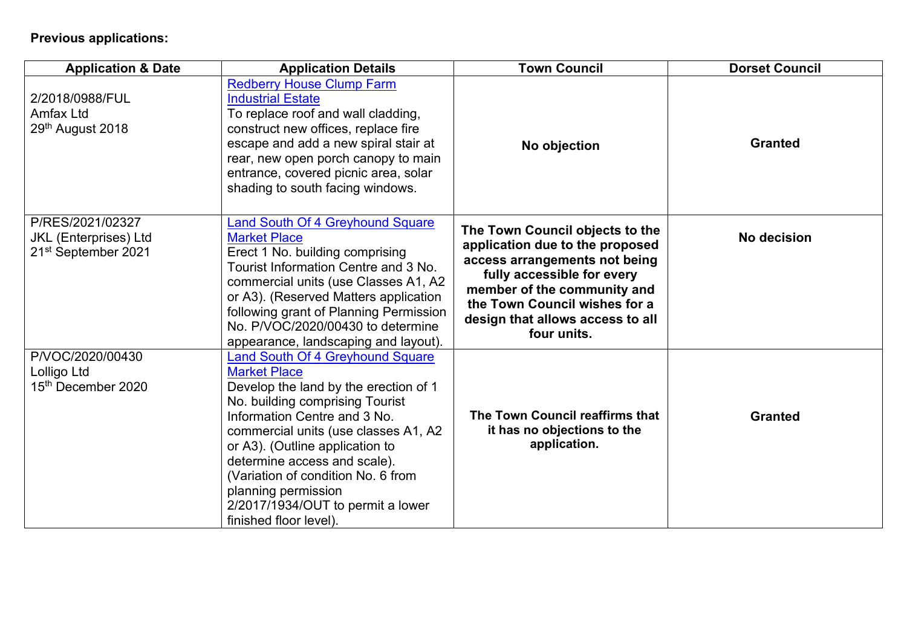# **Previous applications:**

| <b>Application &amp; Date</b>                                                       | <b>Application Details</b>                                                                                                                                                                                                                                                                                                                                                                                        | <b>Town Council</b>                                                                                                                                                                                                                                  | <b>Dorset Council</b> |
|-------------------------------------------------------------------------------------|-------------------------------------------------------------------------------------------------------------------------------------------------------------------------------------------------------------------------------------------------------------------------------------------------------------------------------------------------------------------------------------------------------------------|------------------------------------------------------------------------------------------------------------------------------------------------------------------------------------------------------------------------------------------------------|-----------------------|
| 2/2018/0988/FUL<br><b>Amfax Ltd</b><br>29th August 2018                             | <b>Redberry House Clump Farm</b><br><b>Industrial Estate</b><br>To replace roof and wall cladding,<br>construct new offices, replace fire<br>escape and add a new spiral stair at<br>rear, new open porch canopy to main<br>entrance, covered picnic area, solar<br>shading to south facing windows.                                                                                                              | No objection                                                                                                                                                                                                                                         | <b>Granted</b>        |
| P/RES/2021/02327<br><b>JKL</b> (Enterprises) Ltd<br>21 <sup>st</sup> September 2021 | <b>Land South Of 4 Greyhound Square</b><br><b>Market Place</b><br>Erect 1 No. building comprising<br>Tourist Information Centre and 3 No.<br>commercial units (use Classes A1, A2<br>or A3). (Reserved Matters application<br>following grant of Planning Permission<br>No. P/VOC/2020/00430 to determine<br>appearance, landscaping and layout).                                                                 | The Town Council objects to the<br>application due to the proposed<br>access arrangements not being<br>fully accessible for every<br>member of the community and<br>the Town Council wishes for a<br>design that allows access to all<br>four units. | No decision           |
| P/VOC/2020/00430<br>Lolligo Ltd<br>15th December 2020                               | <b>Land South Of 4 Greyhound Square</b><br><b>Market Place</b><br>Develop the land by the erection of 1<br>No. building comprising Tourist<br>Information Centre and 3 No.<br>commercial units (use classes A1, A2<br>or A3). (Outline application to<br>determine access and scale).<br>(Variation of condition No. 6 from<br>planning permission<br>2/2017/1934/OUT to permit a lower<br>finished floor level). | The Town Council reaffirms that<br>it has no objections to the<br>application.                                                                                                                                                                       | <b>Granted</b>        |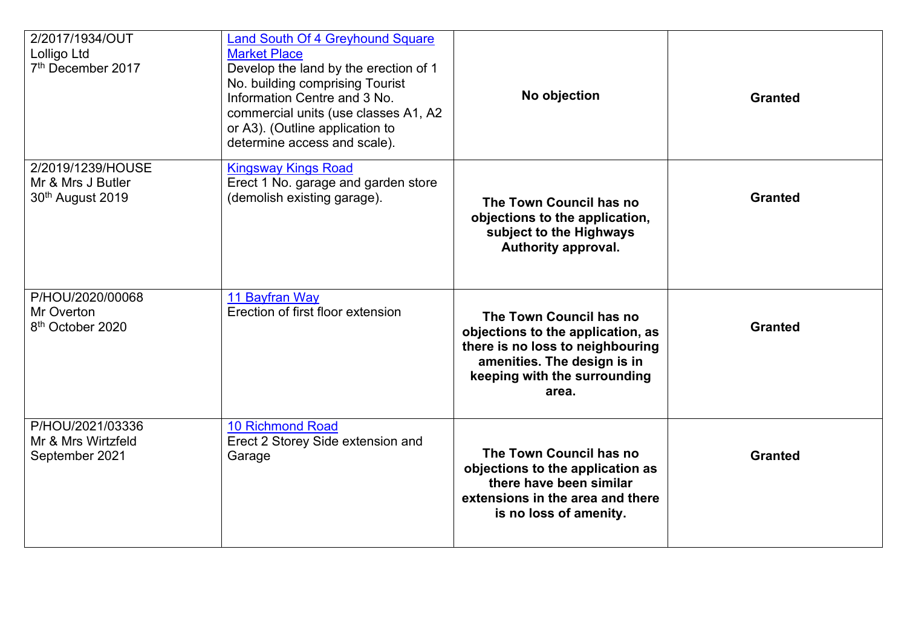| 2/2017/1934/OUT<br>Lolligo Ltd<br>7 <sup>th</sup> December 2017        | <b>Land South Of 4 Greyhound Square</b><br><b>Market Place</b><br>Develop the land by the erection of 1<br>No. building comprising Tourist<br>Information Centre and 3 No.<br>commercial units (use classes A1, A2<br>or A3). (Outline application to<br>determine access and scale). | No objection                                                                                                                                                             | <b>Granted</b> |
|------------------------------------------------------------------------|---------------------------------------------------------------------------------------------------------------------------------------------------------------------------------------------------------------------------------------------------------------------------------------|--------------------------------------------------------------------------------------------------------------------------------------------------------------------------|----------------|
| 2/2019/1239/HOUSE<br>Mr & Mrs J Butler<br>30 <sup>th</sup> August 2019 | <b>Kingsway Kings Road</b><br>Erect 1 No. garage and garden store<br>(demolish existing garage).                                                                                                                                                                                      | The Town Council has no<br>objections to the application,<br>subject to the Highways<br>Authority approval.                                                              | <b>Granted</b> |
| P/HOU/2020/00068<br>Mr Overton<br>8 <sup>th</sup> October 2020         | 11 Bayfran Way<br>Erection of first floor extension                                                                                                                                                                                                                                   | The Town Council has no<br>objections to the application, as<br>there is no loss to neighbouring<br>amenities. The design is in<br>keeping with the surrounding<br>area. | <b>Granted</b> |
| P/HOU/2021/03336<br>Mr & Mrs Wirtzfeld<br>September 2021               | <b>10 Richmond Road</b><br>Erect 2 Storey Side extension and<br>Garage                                                                                                                                                                                                                | The Town Council has no<br>objections to the application as<br>there have been similar<br>extensions in the area and there<br>is no loss of amenity.                     | <b>Granted</b> |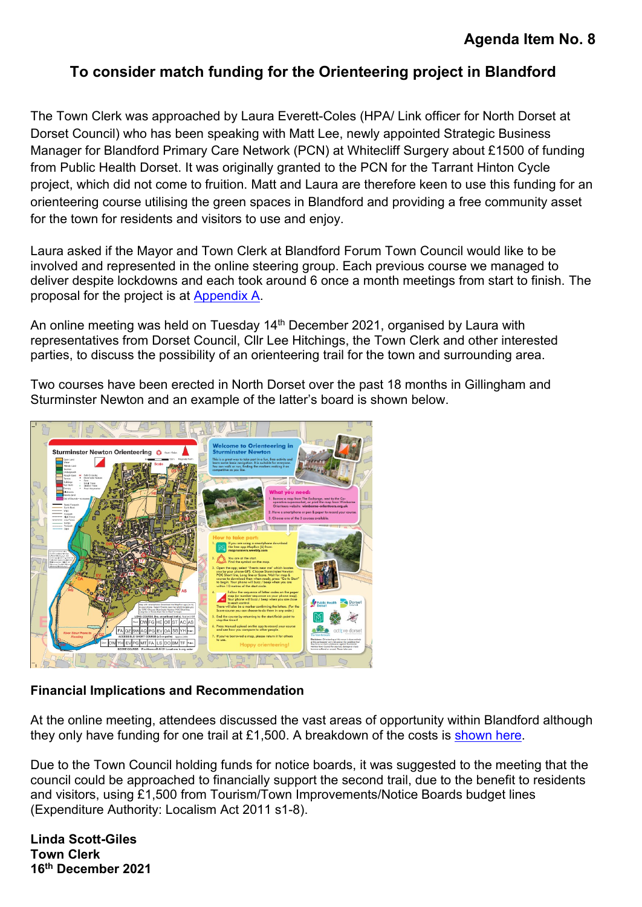# <span id="page-6-0"></span>**To consider match funding for the Orienteering project in Blandford**

The Town Clerk was approached by Laura Everett-Coles (HPA/ Link officer for North Dorset at Dorset Council) who has been speaking with Matt Lee, newly appointed Strategic Business Manager for Blandford Primary Care Network (PCN) at Whitecliff Surgery about £1500 of funding from Public Health Dorset. It was originally granted to the PCN for the Tarrant Hinton Cycle project, which did not come to fruition. Matt and Laura are therefore keen to use this funding for an orienteering course utilising the green spaces in Blandford and providing a free community asset for the town for residents and visitors to use and enjoy.

Laura asked if the Mayor and Town Clerk at Blandford Forum Town Council would like to be involved and represented in the online steering group. Each previous course we managed to deliver despite lockdowns and each took around 6 once a month meetings from start to finish. The proposal for the project is at [Appendix A.](#page-7-0)

An online meeting was held on Tuesday 14<sup>th</sup> December 2021, organised by Laura with representatives from Dorset Council, Cllr Lee Hitchings, the Town Clerk and other interested parties, to discuss the possibility of an orienteering trail for the town and surrounding area.

Two courses have been erected in North Dorset over the past 18 months in Gillingham and Sturminster Newton and an example of the latter's board is shown below.



#### **Financial Implications and Recommendation**

At the online meeting, attendees discussed the vast areas of opportunity within Blandford although they only have funding for one trail at £1,500. A breakdown of the costs is [shown here.](#page-8-0)

Due to the Town Council holding funds for notice boards, it was suggested to the meeting that the council could be approached to financially support the second trail, due to the benefit to residents and visitors, using £1,500 from Tourism/Town Improvements/Notice Boards budget lines (Expenditure Authority: Localism Act 2011 s1-8).

**Linda Scott-Giles Town Clerk 16th December 2021**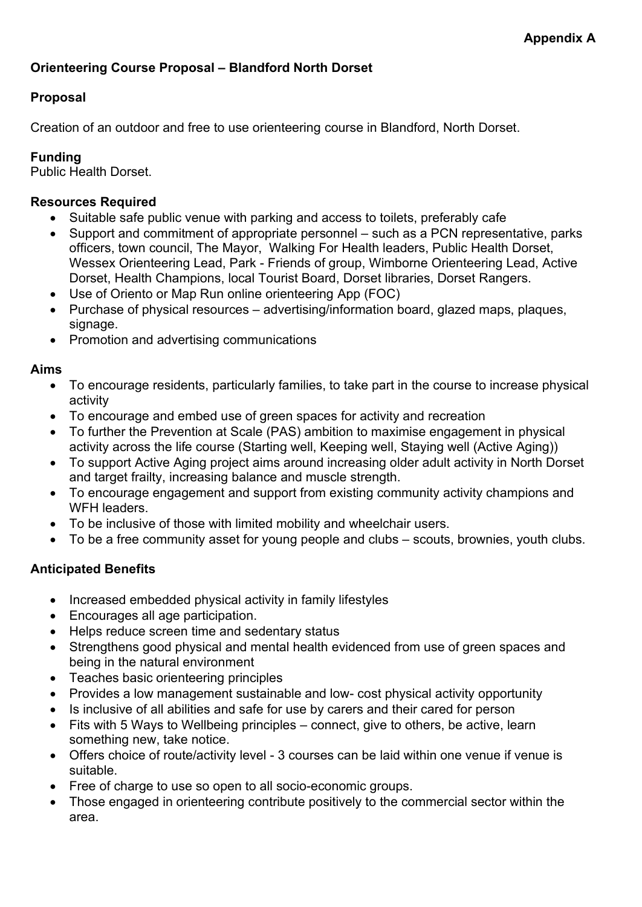#### <span id="page-7-0"></span>**Orienteering Course Proposal – Blandford North Dorset**

#### **Proposal**

Creation of an outdoor and free to use orienteering course in Blandford, North Dorset.

#### **Funding**

Public Health Dorset.

#### **Resources Required**

- Suitable safe public venue with parking and access to toilets, preferably cafe
- Support and commitment of appropriate personnel such as a PCN representative, parks officers, town council, The Mayor, Walking For Health leaders, Public Health Dorset, Wessex Orienteering Lead, Park - Friends of group, Wimborne Orienteering Lead, Active Dorset, Health Champions, local Tourist Board, Dorset libraries, Dorset Rangers.
- Use of Oriento or Map Run online orienteering App (FOC)
- Purchase of physical resources advertising/information board, glazed maps, plaques, signage.
- Promotion and advertising communications

#### **Aims**

- To encourage residents, particularly families, to take part in the course to increase physical activity
- To encourage and embed use of green spaces for activity and recreation
- To further the Prevention at Scale (PAS) ambition to maximise engagement in physical activity across the life course (Starting well, Keeping well, Staying well (Active Aging))
- To support Active Aging project aims around increasing older adult activity in North Dorset and target frailty, increasing balance and muscle strength.
- To encourage engagement and support from existing community activity champions and WFH leaders.
- To be inclusive of those with limited mobility and wheelchair users.
- To be a free community asset for young people and clubs scouts, brownies, youth clubs.

#### **Anticipated Benefits**

- Increased embedded physical activity in family lifestyles
- Encourages all age participation.
- Helps reduce screen time and sedentary status
- Strengthens good physical and mental health evidenced from use of green spaces and being in the natural environment
- Teaches basic orienteering principles
- Provides a low management sustainable and low- cost physical activity opportunity
- Is inclusive of all abilities and safe for use by carers and their cared for person
- Fits with 5 Ways to Wellbeing principles connect, give to others, be active, learn something new, take notice.
- Offers choice of route/activity level 3 courses can be laid within one venue if venue is suitable.
- Free of charge to use so open to all socio-economic groups.
- Those engaged in orienteering contribute positively to the commercial sector within the area.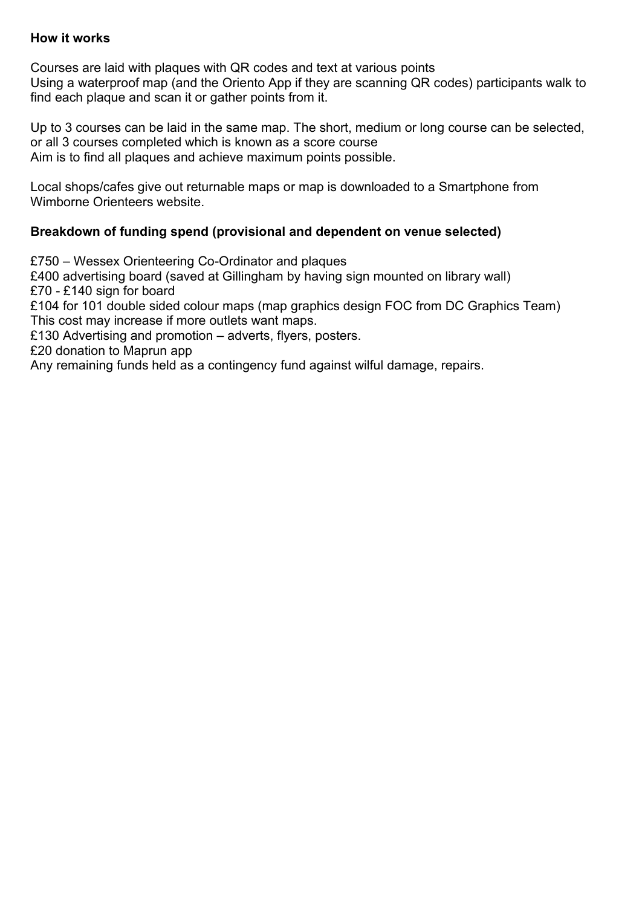#### **How it works**

Courses are laid with plaques with QR codes and text at various points Using a waterproof map (and the Oriento App if they are scanning QR codes) participants walk to find each plaque and scan it or gather points from it.

Up to 3 courses can be laid in the same map. The short, medium or long course can be selected, or all 3 courses completed which is known as a score course Aim is to find all plaques and achieve maximum points possible.

Local shops/cafes give out returnable maps or map is downloaded to a Smartphone from Wimborne Orienteers website.

#### <span id="page-8-0"></span>**Breakdown of funding spend (provisional and dependent on venue selected)**

£750 – Wessex Orienteering Co-Ordinator and plaques £400 advertising board (saved at Gillingham by having sign mounted on library wall) £70 - £140 sign for board £104 for 101 double sided colour maps (map graphics design FOC from DC Graphics Team) This cost may increase if more outlets want maps. £130 Advertising and promotion – adverts, flyers, posters. £20 donation to Maprun app Any remaining funds held as a contingency fund against wilful damage, repairs.